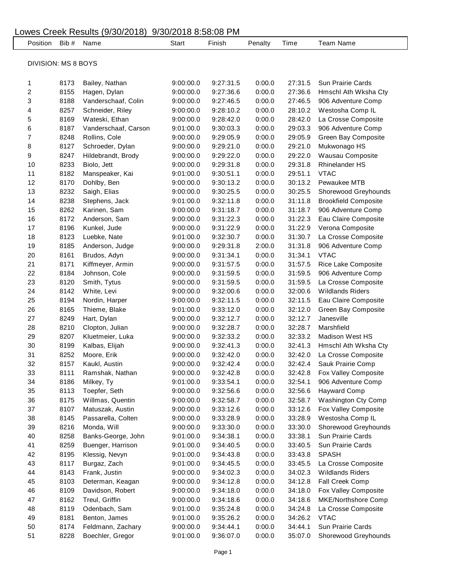## Lowes Creek Results (9/30/2018) 9/30/2018 8:58:08 PM Position Bib # Name Start Finish Penalty Time Team Name DIVISION: MS 8 BOYS 8173 Bailey, Nathan 9:00:00.0 9:27:31.5 0:00.0 27:31.5 Sun Prairie Cards 8155 Hagen, Dylan 9:00:00.0 9:27:36.6 0:00.0 27:36.6 Hmschl Ath Wksha Cty 8188 Vanderschaaf, Colin 9:00:00.0 9:27:46.5 0:00.0 27:46.5 906 Adventure Comp 8257 Schneider, Riley 9:00:00.0 9:28:10.2 0:00.0 28:10.2 Westosha Comp IL 8169 Wateski, Ethan 9:00:00.0 9:28:42.0 0:00.0 28:42.0 La Crosse Composite 8187 Vanderschaaf, Carson 9:01:00.0 9:30:03.3 0:00.0 29:03.3 906 Adventure Comp 8248 Rollins, Cole 9:00:00.0 9:29:05.9 0:00.0 29:05.9 Green Bay Composite 8127 Schroeder, Dylan 9:00:00.0 9:29:21.0 0:00.0 29:21.0 Mukwonago HS 8247 Hildebrandt, Brody 9:00:00.0 9:29:22.0 0:00.0 29:22.0 Wausau Composite 8233 Biolo, Jett 9:00:00.0 9:29:31.8 0:00.0 29:31.8 Rhinelander HS 8182 Manspeaker, Kai 9:01:00.0 9:30:51.1 0:00.0 29:51.1 VTAC 8170 Dohlby, Ben 9:00:00.0 9:30:13.2 0:00.0 30:13.2 Pewaukee MTB 8232 Saigh, Elias 9:00:00.0 9:30:25.5 0:00.0 30:25.5 Shorewood Greyhounds 8238 Stephens, Jack 9:01:00.0 9:32:11.8 0:00.0 31:11.8 Brookfield Composite 8262 Karinen, Sam 9:00:00.0 9:31:18.7 0:00.0 31:18.7 906 Adventure Comp 8172 Anderson, Sam 9:00:00.0 9:31:22.3 0:00.0 31:22.3 Eau Claire Composite 8196 Kunkel, Jude 9:00:00.0 9:31:22.9 0:00.0 31:22.9 Verona Composite 8123 Luebke, Nate 9:01:00.0 9:32:30.7 0:00.0 31:30.7 La Crosse Composite 8185 Anderson, Judge 9:00:00.0 9:29:31.8 2:00.0 31:31.8 906 Adventure Comp 8161 Brudos, Adyn 9:00:00.0 9:31:34.1 0:00.0 31:34.1 VTAC 8171 Kiffmeyer, Armin 9:00:00.0 9:31:57.5 0:00.0 31:57.5 Rice Lake Composite 8184 Johnson, Cole 9:00:00.0 9:31:59.5 0:00.0 31:59.5 906 Adventure Comp 8120 Smith, Tytus 9:00:00.0 9:31:59.5 0:00.0 31:59.5 La Crosse Composite 8142 White, Levi 9:00:00.0 9:32:00.6 0:00.0 32:00.6 Wildlands Riders 8194 Nordin, Harper 9:00:00.0 9:32:11.5 0:00.0 32:11.5 Eau Claire Composite 8165 Thieme, Blake 9:01:00.0 9:33:12.0 0:00.0 32:12.0 Green Bay Composite 8249 Hart, Dylan 9:00:00.0 9:32:12.7 0:00.0 32:12.7 Janesville 8210 Clopton, Julian 9:00:00.0 9:32:28.7 0:00.0 32:28.7 Marshfield 8207 Kluetmeier, Luka 9:00:00.0 9:32:33.2 0:00.0 32:33.2 Madison West HS 8199 Kalbas, Elijah 9:00:00.0 9:32:41.3 0:00.0 32:41.3 Hmschl Ath Wksha Cty 8252 Moore, Erik 9:00:00.0 9:32:42.0 0:00.0 32:42.0 La Crosse Composite 8157 Kaukl, Austin 9:00:00.0 9:32:42.4 0:00.0 32:42.4 Sauk Prairie Comp 8111 Ramshak, Nathan 9:00:00.0 9:32:42.8 0:00.0 32:42.8 Fox Valley Composite 8186 Milkey, Ty 9:01:00.0 9:33:54.1 0:00.0 32:54.1 906 Adventure Comp 8113 Toepfer, Seth 9:00:00.0 9:32:56.6 0:00.0 32:56.6 Hayward Comp 8175 Willmas, Quentin 9:00:00.0 9:32:58.7 0:00.0 32:58.7 Washington Cty Comp 8107 Matuszak, Austin 9:00:00.0 9:33:12.6 0:00.0 33:12.6 Fox Valley Composite 8145 Passarella, Colten 9:00:00.0 9:33:28.9 0:00.0 33:28.9 Westosha Comp IL 8216 Monda, Will 9:00:00.0 9:33:30.0 0:00.0 33:30.0 Shorewood Greyhounds 8258 Banks-George, John 9:01:00.0 9:34:38.1 0:00.0 33:38.1 Sun Prairie Cards 8259 Buenger, Harrison 9:01:00.0 9:34:40.5 0:00.0 33:40.5 Sun Prairie Cards 8195 Klessig, Nevyn 9:01:00.0 9:34:43.8 0:00.0 33:43.8 SPASH 8117 Burgaz, Zach 9:01:00.0 9:34:45.5 0:00.0 33:45.5 La Crosse Composite 8143 Frank, Justin 9:00:00.0 9:34:02.3 0:00.0 34:02.3 Wildlands Riders 8103 Determan, Keagan 9:00:00.0 9:34:12.8 0:00.0 34:12.8 Fall Creek Comp 8109 Davidson, Robert 9:00:00.0 9:34:18.0 0:00.0 34:18.0 Fox Valley Composite 8162 Treul, Griffin 9:00:00.0 9:34:18.6 0:00.0 34:18.6 MKE/Northshore Comp 8119 Odenbach, Sam 9:01:00.0 9:35:24.8 0:00.0 34:24.8 La Crosse Composite 8181 Benton, James 9:01:00.0 9:35:26.2 0:00.0 34:26.2 VTAC 8174 Feldmann, Zachary 9:00:00.0 9:34:44.1 0:00.0 34:44.1 Sun Prairie Cards 8228 Boechler, Gregor 9:01:00.0 9:36:07.0 0:00.0 35:07.0 Shorewood Greyhounds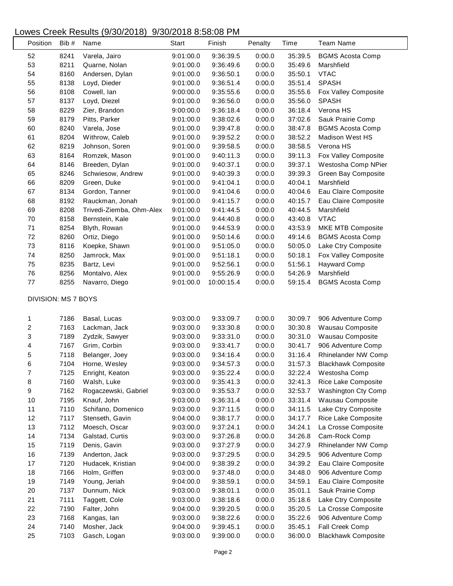## Lowes Creek Results (9/30/2018) 9/30/2018 8:58:08 PM

| Position                | Bib#         | Name                     | Start     | Finish     | Penalty          | Time    | <b>Team Name</b>           |
|-------------------------|--------------|--------------------------|-----------|------------|------------------|---------|----------------------------|
| 52                      | 8241         | Varela, Jairo            | 9:01:00.0 | 9:36:39.5  | 0:00.0           | 35:39.5 | <b>BGMS Acosta Comp</b>    |
| 53                      | 8211         | Quarne, Nolan            | 9:01:00.0 | 9:36:49.6  | 0:00.0           | 35:49.6 | Marshfield                 |
| 54                      | 8160         | Andersen, Dylan          | 9:01:00.0 | 9:36:50.1  | 0:00.0           | 35:50.1 | <b>VTAC</b>                |
| 55                      | 8138         | Loyd, Dieder             | 9:01:00.0 | 9:36:51.4  | 0:00.0           | 35:51.4 | <b>SPASH</b>               |
| 56                      | 8108         | Cowell, Ian              | 9:00:00.0 | 9:35:55.6  | 0:00.0           | 35:55.6 | Fox Valley Composite       |
| 57                      | 8137         | Loyd, Diezel             | 9:01:00.0 | 9:36:56.0  | 0:00.0           | 35:56.0 | <b>SPASH</b>               |
| 58                      | 8229         | Zier, Brandon            | 9:00:00.0 | 9:36:18.4  | 0:00.0           | 36:18.4 | Verona HS                  |
| 59                      | 8179         | Pitts, Parker            | 9:01:00.0 | 9:38:02.6  | 0:00.0           | 37:02.6 | Sauk Prairie Comp          |
| 60                      | 8240         | Varela, Jose             | 9:01:00.0 | 9:39:47.8  | 0:00.0           | 38:47.8 | <b>BGMS Acosta Comp</b>    |
| 61                      | 8204         | Withrow, Caleb           | 9:01:00.0 | 9:39:52.2  | 0:00.0           | 38:52.2 | <b>Madison West HS</b>     |
| 62                      | 8219         | Johnson, Soren           | 9:01:00.0 | 9:39:58.5  | 0:00.0           | 38:58.5 | Verona HS                  |
| 63                      | 8164         | Romzek, Mason            | 9:01:00.0 | 9:40:11.3  | 0:00.0           | 39:11.3 | Fox Valley Composite       |
| 64                      | 8146         | Breeden, Dylan           | 9:01:00.0 | 9:40:37.1  | 0:00.0           | 39:37.1 | Westosha Comp NPier        |
| 65                      | 8246         | Schwiesow, Andrew        | 9:01:00.0 | 9:40:39.3  | 0:00.0           | 39:39.3 | Green Bay Composite        |
| 66                      | 8209         | Green, Duke              | 9:01:00.0 | 9:41:04.1  | 0:00.0           | 40:04.1 | Marshfield                 |
| 67                      | 8134         | Gordon, Tanner           | 9:01:00.0 | 9:41:04.6  | 0:00.0           | 40:04.6 | Eau Claire Composite       |
| 68                      | 8192         | Rauckman, Jonah          | 9:01:00.0 | 9:41:15.7  | 0:00.0           | 40:15.7 | Eau Claire Composite       |
| 69                      | 8208         | Trivedi-Ziemba, Ohm-Alex | 9:01:00.0 | 9:41:44.5  | 0:00.0           | 40:44.5 | Marshfield                 |
| 70                      | 8158         | Bernstein, Kale          | 9:01:00.0 | 9:44:40.8  | 0:00.0           | 43:40.8 | <b>VTAC</b>                |
| 71                      | 8254         | Blyth, Rowan             | 9:01:00.0 | 9:44:53.9  | 0:00.0           | 43:53.9 | MKE MTB Composite          |
| 72                      | 8260         | Ortiz, Diego             | 9:01:00.0 | 9:50:14.6  | 0:00.0           | 49:14.6 | <b>BGMS Acosta Comp</b>    |
| 73                      | 8116         | Koepke, Shawn            | 9:01:00.0 | 9:51:05.0  | 0:00.0           | 50:05.0 | Lake Ctry Composite        |
| 74                      | 8250         |                          |           |            | 0:00.0           | 50:18.1 |                            |
|                         |              | Jamrock, Max             | 9:01:00.0 | 9:51:18.1  |                  |         | Fox Valley Composite       |
| 75                      | 8235         | Bartz, Levi              | 9:01:00.0 | 9:52:56.1  | 0:00.0           | 51:56.1 | <b>Hayward Comp</b>        |
| 76<br>$77 \,$           | 8256<br>8255 | Montalvo, Alex           | 9:01:00.0 | 9:55:26.9  | 0:00.0<br>0:00.0 | 54:26.9 | Marshfield                 |
|                         |              | Navarro, Diego           | 9:01:00.0 | 10:00:15.4 |                  | 59:15.4 | <b>BGMS Acosta Comp</b>    |
| DIVISION: MS 7 BOYS     |              |                          |           |            |                  |         |                            |
| 1                       | 7186         | Basal, Lucas             | 9:03:00.0 | 9:33:09.7  | 0:00.0           | 30:09.7 | 906 Adventure Comp         |
| $\overline{\mathbf{c}}$ | 7163         | Lackman, Jack            | 9:03:00.0 | 9:33:30.8  | 0:00.0           | 30:30.8 | Wausau Composite           |
| 3                       | 7189         | Zydzik, Sawyer           | 9:03:00.0 | 9:33:31.0  | 0:00.0           | 30:31.0 | Wausau Composite           |
| 4                       | 7167         | Grim, Corbin             | 9:03:00.0 | 9:33:41.7  | 0:00.0           | 30:41.7 | 906 Adventure Comp         |
| 5                       | 7118         | Belanger, Joey           | 9:03:00.0 | 9:34:16.4  | 0:00.0           | 31:16.4 | Rhinelander NW Comp        |
| 6                       | 7104         | Horne, Wesley            | 9:03:00.0 | 9:34:57.3  | 0:00.0           | 31:57.3 | <b>Blackhawk Composite</b> |
| 7                       | 7125         | Enright, Keaton          | 9:03:00.0 | 9:35:22.4  | 0:00.0           | 32:22.4 | Westosha Comp              |
| 8                       | 7160         | Walsh, Luke              | 9:03:00.0 | 9:35:41.3  | 0:00.0           | 32:41.3 | Rice Lake Composite        |
| 9                       | 7162         | Rogaczewski, Gabriel     | 9:03:00.0 | 9:35:53.7  | 0:00.0           | 32:53.7 | Washington Cty Comp        |
| 10                      | 7195         | Knauf, John              | 9:03:00.0 | 9:36:31.4  | 0:00.0           | 33:31.4 | Wausau Composite           |
| 11                      | 7110         | Schifano, Domenico       | 9:03:00.0 | 9:37:11.5  | 0:00.0           | 34:11.5 | Lake Ctry Composite        |
| 12                      | 7117         | Stenseth, Gavin          | 9:04:00.0 | 9:38:17.7  | 0:00.0           | 34:17.7 | Rice Lake Composite        |
| 13                      | 7112         |                          |           |            | 0:00.0           |         | La Crosse Composite        |
|                         |              | Moesch, Oscar            | 9:03:00.0 | 9:37:24.1  | 0:00.0           | 34:24.1 |                            |
| 14                      | 7134         | Galstad, Curtis          | 9:03:00.0 | 9:37:26.8  |                  | 34:26.8 | Cam-Rock Comp              |
| 15                      | 7119         | Denis, Gavin             | 9:03:00.0 | 9:37:27.9  | 0:00.0           | 34:27.9 | Rhinelander NW Comp        |
| 16                      | 7139         | Anderton, Jack           | 9:03:00.0 | 9:37:29.5  | 0:00.0           | 34:29.5 | 906 Adventure Comp         |
| 17                      | 7120         | Hudacek, Kristian        | 9:04:00.0 | 9:38:39.2  | 0:00.0           | 34:39.2 | Eau Claire Composite       |
| 18                      | 7166         | Holm, Griffen            | 9:03:00.0 | 9:37:48.0  | 0:00.0           | 34:48.0 | 906 Adventure Comp         |
| 19                      | 7149         | Young, Jeriah            | 9:04:00.0 | 9:38:59.1  | 0:00.0           | 34:59.1 | Eau Claire Composite       |
| 20                      | 7137         | Dunnum, Nick             | 9:03:00.0 | 9:38:01.1  | 0:00.0           | 35:01.1 | Sauk Prairie Comp          |
| 21                      | 7111         | Taggett, Cole            | 9:03:00.0 | 9:38:18.6  | 0:00.0           | 35:18.6 | Lake Ctry Composite        |
| 22                      | 7190         | Falter, John             | 9:04:00.0 | 9:39:20.5  | 0:00.0           | 35:20.5 | La Crosse Composite        |
| 23                      | 7168         | Kangas, lan              | 9:03:00.0 | 9:38:22.6  | 0:00.0           | 35:22.6 | 906 Adventure Comp         |
| 24                      | 7140         | Mosher, Jack             | 9:04:00.0 | 9:39:45.1  | 0:00.0           | 35:45.1 | Fall Creek Comp            |
| 25                      | 7103         | Gasch, Logan             | 9:03:00.0 | 9:39:00.0  | 0:00.0           | 36:00.0 | <b>Blackhawk Composite</b> |

 $\overline{\phantom{a}}$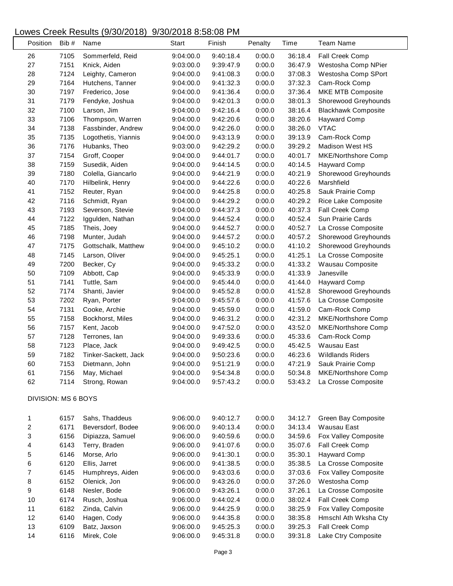## Lowes Creek Results (9/30/2018) 9/30/2018 8:58:08 PM

|                         | Position | Bib # | Name                 | <b>Start</b> | Finish    | Penalty | Time    | <b>Team Name</b>           |
|-------------------------|----------|-------|----------------------|--------------|-----------|---------|---------|----------------------------|
| 26                      |          | 7105  | Sommerfeld, Reid     | 9:04:00.0    | 9:40:18.4 | 0:00.0  | 36:18.4 | Fall Creek Comp            |
| 27                      |          | 7151  | Knick, Aiden         | 9:03:00.0    | 9:39:47.9 | 0:00.0  | 36:47.9 | Westosha Comp NPier        |
| 28                      |          | 7124  | Leighty, Cameron     | 9:04:00.0    | 9:41:08.3 | 0:00.0  | 37:08.3 | Westosha Comp SPort        |
| 29                      |          | 7164  | Hutchens, Tanner     | 9:04:00.0    | 9:41:32.3 | 0:00.0  | 37:32.3 | Cam-Rock Comp              |
| $30\,$                  |          | 7197  | Frederico, Jose      | 9:04:00.0    | 9:41:36.4 | 0:00.0  | 37:36.4 | MKE MTB Composite          |
| 31                      |          | 7179  | Fendyke, Joshua      | 9:04:00.0    | 9:42:01.3 | 0:00.0  | 38:01.3 | Shorewood Greyhounds       |
| 32                      |          | 7100  | Larson, Jim          | 9:04:00.0    | 9:42:16.4 | 0:00.0  | 38:16.4 | <b>Blackhawk Composite</b> |
| 33                      |          | 7106  | Thompson, Warren     | 9:04:00.0    | 9:42:20.6 | 0:00.0  | 38:20.6 | <b>Hayward Comp</b>        |
| 34                      |          | 7138  | Fassbinder, Andrew   | 9:04:00.0    | 9:42:26.0 | 0:00.0  | 38:26.0 | <b>VTAC</b>                |
| 35                      |          | 7135  | Logothetis, Yiannis  | 9:04:00.0    | 9:43:13.9 | 0:00.0  | 39:13.9 | Cam-Rock Comp              |
| 36                      |          | 7176  | Hubanks, Theo        | 9:03:00.0    | 9:42:29.2 | 0:00.0  | 39:29.2 | <b>Madison West HS</b>     |
| 37                      |          | 7154  | Groff, Cooper        | 9:04:00.0    | 9:44:01.7 | 0:00.0  | 40:01.7 | MKE/Northshore Comp        |
| 38                      |          | 7159  | Susedik, Aiden       | 9:04:00.0    | 9:44:14.5 | 0:00.0  | 40:14.5 | <b>Hayward Comp</b>        |
| 39                      |          | 7180  | Colella, Giancarlo   | 9:04:00.0    | 9:44:21.9 | 0:00.0  | 40:21.9 | Shorewood Greyhounds       |
| 40                      |          | 7170  | Hilbelink, Henry     | 9:04:00.0    | 9:44:22.6 | 0:00.0  | 40:22.6 | Marshfield                 |
| 41                      |          | 7152  | Reuter, Ryan         | 9:04:00.0    | 9:44:25.8 | 0:00.0  | 40:25.8 | Sauk Prairie Comp          |
| 42                      |          | 7116  | Schmidt, Ryan        | 9:04:00.0    | 9:44:29.2 | 0:00.0  | 40:29.2 | Rice Lake Composite        |
| 43                      |          | 7193  | Severson, Stevie     | 9:04:00.0    | 9:44:37.3 | 0:00.0  | 40:37.3 | Fall Creek Comp            |
| 44                      |          | 7122  | Iggulden, Nathan     | 9:04:00.0    | 9:44:52.4 | 0:00.0  | 40:52.4 | Sun Prairie Cards          |
| 45                      |          | 7185  | Theis, Joey          | 9:04:00.0    | 9:44:52.7 | 0:00.0  | 40:52.7 | La Crosse Composite        |
| 46                      |          | 7198  | Munter, Judah        | 9:04:00.0    | 9:44:57.2 | 0:00.0  | 40:57.2 | Shorewood Greyhounds       |
| 47                      |          | 7175  | Gottschalk, Matthew  | 9:04:00.0    | 9:45:10.2 | 0:00.0  | 41:10.2 | Shorewood Greyhounds       |
| 48                      |          | 7145  | Larson, Oliver       | 9:04:00.0    | 9:45:25.1 | 0:00.0  | 41:25.1 | La Crosse Composite        |
| 49                      |          | 7200  | Becker, Cy           | 9:04:00.0    | 9:45:33.2 | 0:00.0  | 41:33.2 | Wausau Composite           |
| 50                      |          | 7109  | Abbott, Cap          | 9:04:00.0    | 9:45:33.9 | 0:00.0  | 41:33.9 | Janesville                 |
| 51                      |          | 7141  | Tuttle, Sam          | 9:04:00.0    | 9:45:44.0 | 0:00.0  | 41:44.0 | <b>Hayward Comp</b>        |
| 52                      |          | 7174  | Shanti, Javier       | 9:04:00.0    | 9:45:52.8 | 0:00.0  | 41:52.8 | Shorewood Greyhounds       |
| 53                      |          | 7202  | Ryan, Porter         | 9:04:00.0    | 9:45:57.6 | 0:00.0  | 41:57.6 | La Crosse Composite        |
| 54                      |          | 7131  | Cooke, Archie        | 9:04:00.0    | 9:45:59.0 | 0:00.0  | 41:59.0 | Cam-Rock Comp              |
| 55                      |          | 7158  | Bockhorst, Miles     | 9:04:00.0    | 9:46:31.2 | 0:00.0  | 42:31.2 | MKE/Northshore Comp        |
| 56                      |          | 7157  | Kent, Jacob          | 9:04:00.0    | 9:47:52.0 | 0:00.0  | 43:52.0 | <b>MKE/Northshore Comp</b> |
| 57                      |          | 7128  | Terrones, lan        | 9:04:00.0    | 9:49:33.6 | 0:00.0  | 45:33.6 | Cam-Rock Comp              |
| 58                      |          | 7123  | Place, Jack          | 9:04:00.0    | 9:49:42.5 | 0:00.0  | 45:42.5 | Wausau East                |
| 59                      |          | 7182  | Tinker-Sackett, Jack | 9:04:00.0    | 9:50:23.6 | 0:00.0  | 46:23.6 | <b>Wildlands Riders</b>    |
| 60                      |          | 7153  | Dietmann, John       | 9:04:00.0    | 9:51:21.9 | 0:00.0  | 47:21.9 | Sauk Prairie Comp          |
| 61                      |          | 7156  | May, Michael         | 9:04:00.0    | 9:54:34.8 | 0:00.0  | 50:34.8 | MKE/Northshore Comp        |
| 62                      |          | 7114  | Strong, Rowan        | 9:04:00.0    | 9:57:43.2 | 0:00.0  | 53:43.2 | La Crosse Composite        |
| DIVISION: MS 6 BOYS     |          |       |                      |              |           |         |         |                            |
| 1                       |          | 6157  | Sahs, Thaddeus       | 9:06:00.0    | 9:40:12.7 | 0:00.0  | 34:12.7 | Green Bay Composite        |
| $\overline{\mathbf{c}}$ |          | 6171  | Beversdorf, Bodee    | 9:06:00.0    | 9:40:13.4 | 0:00.0  | 34:13.4 | Wausau East                |
| 3                       |          | 6156  | Dipiazza, Samuel     | 9:06:00.0    | 9:40:59.6 | 0:00.0  | 34:59.6 | Fox Valley Composite       |
| 4                       |          | 6143  | Terry, Braden        | 9:06:00.0    | 9:41:07.6 | 0:00.0  | 35:07.6 | Fall Creek Comp            |
| 5                       |          | 6146  | Morse, Arlo          | 9:06:00.0    | 9:41:30.1 | 0:00.0  | 35:30.1 | <b>Hayward Comp</b>        |
| 6                       |          | 6120  | Ellis, Jarret        | 9:06:00.0    | 9:41:38.5 | 0:00.0  | 35:38.5 | La Crosse Composite        |
| $\overline{\mathbf{7}}$ |          | 6145  | Humphreys, Aiden     | 9:06:00.0    | 9:43:03.6 | 0:00.0  | 37:03.6 | Fox Valley Composite       |
| 8                       |          | 6152  | Olenick, Jon         | 9:06:00.0    | 9:43:26.0 | 0:00.0  | 37:26.0 | Westosha Comp              |
| 9                       |          | 6148  | Nesler, Bode         | 9:06:00.0    | 9:43:26.1 | 0:00.0  | 37:26.1 | La Crosse Composite        |
| 10                      |          | 6174  | Rusch, Joshua        | 9:06:00.0    | 9:44:02.4 | 0:00.0  | 38:02.4 | Fall Creek Comp            |
| 11                      |          | 6182  | Zinda, Calvin        | 9:06:00.0    | 9:44:25.9 | 0:00.0  | 38:25.9 | Fox Valley Composite       |
| 12                      |          | 6140  | Hagen, Cody          | 9:06:00.0    | 9:44:35.8 | 0:00.0  | 38:35.8 | Hmschl Ath Wksha Cty       |
| 13                      |          | 6109  | Batz, Jaxson         | 9:06:00.0    | 9:45:25.3 | 0:00.0  | 39:25.3 | Fall Creek Comp            |
| 14                      |          | 6116  | Mirek, Cole          | 9:06:00.0    | 9:45:31.8 | 0:00.0  | 39:31.8 | Lake Ctry Composite        |
|                         |          |       |                      |              |           |         |         |                            |

 $\overline{\phantom{a}}$